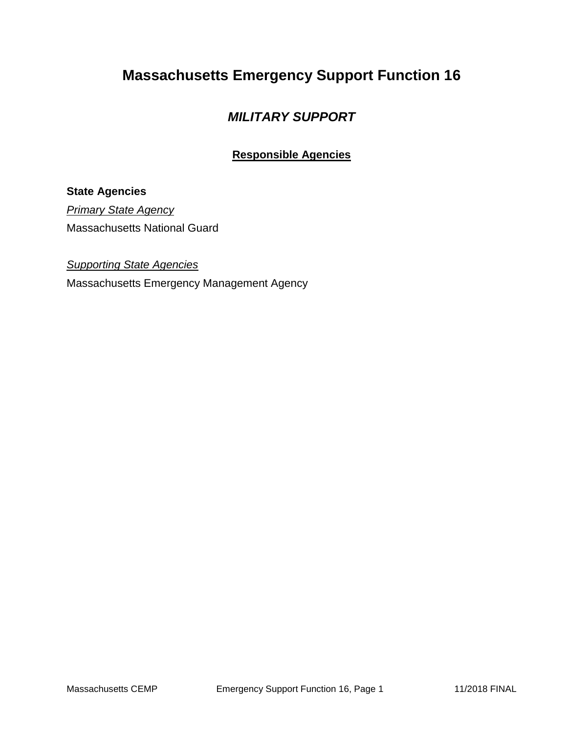# **Massachusetts Emergency Support Function 16**

## *MILITARY SUPPORT*

## **Responsible Agencies**

### **State Agencies**

*Primary State Agency* Massachusetts National Guard

*Supporting State Agencies* 

Massachusetts Emergency Management Agency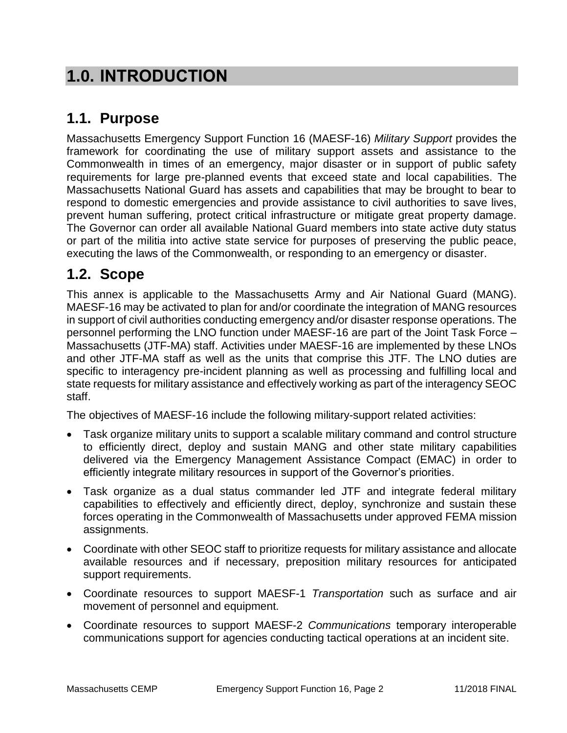# **1.0. INTRODUCTION**

# **1.1. Purpose**

Massachusetts Emergency Support Function 16 (MAESF-16) *Military Support* provides the framework for coordinating the use of military support assets and assistance to the Commonwealth in times of an emergency, major disaster or in support of public safety requirements for large pre-planned events that exceed state and local capabilities. The Massachusetts National Guard has assets and capabilities that may be brought to bear to respond to domestic emergencies and provide assistance to civil authorities to save lives, prevent human suffering, protect critical infrastructure or mitigate great property damage. The Governor can order all available National Guard members into state active duty status or part of the militia into active state service for purposes of preserving the public peace, executing the laws of the Commonwealth, or responding to an emergency or disaster.

# **1.2. Scope**

This annex is applicable to the Massachusetts Army and Air National Guard (MANG). MAESF-16 may be activated to plan for and/or coordinate the integration of MANG resources in support of civil authorities conducting emergency and/or disaster response operations. The personnel performing the LNO function under MAESF-16 are part of the Joint Task Force – Massachusetts (JTF-MA) staff. Activities under MAESF-16 are implemented by these LNOs and other JTF-MA staff as well as the units that comprise this JTF. The LNO duties are specific to interagency pre-incident planning as well as processing and fulfilling local and state requests for military assistance and effectively working as part of the interagency SEOC staff.

The objectives of MAESF-16 include the following military-support related activities:

- Task organize military units to support a scalable military command and control structure to efficiently direct, deploy and sustain MANG and other state military capabilities delivered via the Emergency Management Assistance Compact (EMAC) in order to efficiently integrate military resources in support of the Governor's priorities.
- Task organize as a dual status commander led JTF and integrate federal military capabilities to effectively and efficiently direct, deploy, synchronize and sustain these forces operating in the Commonwealth of Massachusetts under approved FEMA mission assignments.
- Coordinate with other SEOC staff to prioritize requests for military assistance and allocate available resources and if necessary, preposition military resources for anticipated support requirements.
- Coordinate resources to support MAESF-1 *Transportation* such as surface and air movement of personnel and equipment.
- Coordinate resources to support MAESF-2 *Communications* temporary interoperable communications support for agencies conducting tactical operations at an incident site.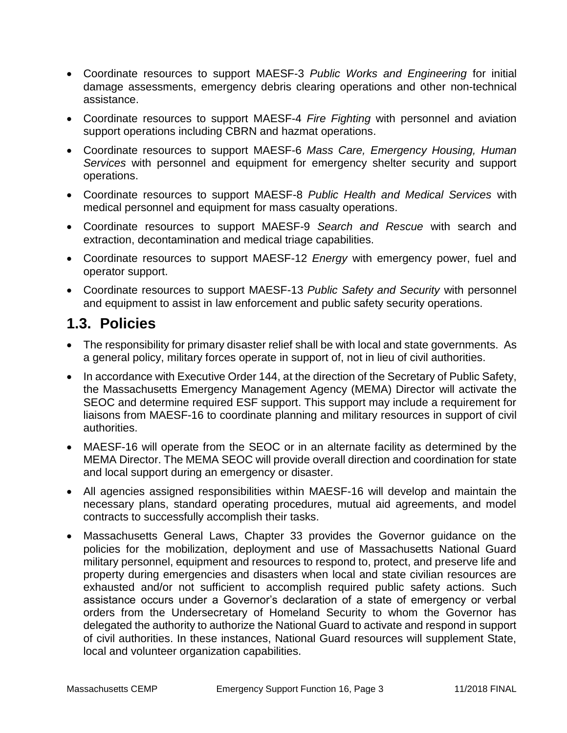- Coordinate resources to support MAESF-3 *Public Works and Engineering* for initial damage assessments, emergency debris clearing operations and other non-technical assistance.
- Coordinate resources to support MAESF-4 *Fire Fighting* with personnel and aviation support operations including CBRN and hazmat operations.
- Coordinate resources to support MAESF-6 *Mass Care, Emergency Housing, Human Services* with personnel and equipment for emergency shelter security and support operations.
- Coordinate resources to support MAESF-8 *Public Health and Medical Services* with medical personnel and equipment for mass casualty operations.
- Coordinate resources to support MAESF-9 *Search and Rescue* with search and extraction, decontamination and medical triage capabilities.
- Coordinate resources to support MAESF-12 *Energy* with emergency power, fuel and operator support.
- Coordinate resources to support MAESF-13 *Public Safety and Security* with personnel and equipment to assist in law enforcement and public safety security operations.

# **1.3. Policies**

- The responsibility for primary disaster relief shall be with local and state governments. As a general policy, military forces operate in support of, not in lieu of civil authorities.
- In accordance with Executive Order 144, at the direction of the Secretary of Public Safety, the Massachusetts Emergency Management Agency (MEMA) Director will activate the SEOC and determine required ESF support. This support may include a requirement for liaisons from MAESF-16 to coordinate planning and military resources in support of civil authorities.
- MAESF-16 will operate from the SEOC or in an alternate facility as determined by the MEMA Director. The MEMA SEOC will provide overall direction and coordination for state and local support during an emergency or disaster.
- All agencies assigned responsibilities within MAESF-16 will develop and maintain the necessary plans, standard operating procedures, mutual aid agreements, and model contracts to successfully accomplish their tasks.
- Massachusetts General Laws, Chapter 33 provides the Governor guidance on the policies for the mobilization, deployment and use of Massachusetts National Guard military personnel, equipment and resources to respond to, protect, and preserve life and property during emergencies and disasters when local and state civilian resources are exhausted and/or not sufficient to accomplish required public safety actions. Such assistance occurs under a Governor's declaration of a state of emergency or verbal orders from the Undersecretary of Homeland Security to whom the Governor has delegated the authority to authorize the National Guard to activate and respond in support of civil authorities. In these instances, National Guard resources will supplement State, local and volunteer organization capabilities.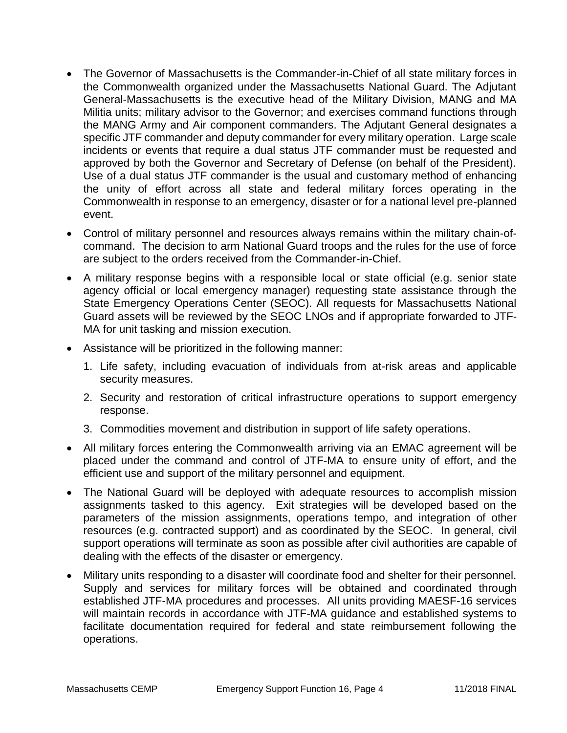- The Governor of Massachusetts is the Commander-in-Chief of all state military forces in the Commonwealth organized under the Massachusetts National Guard. The Adjutant General-Massachusetts is the executive head of the Military Division, MANG and MA Militia units; military advisor to the Governor; and exercises command functions through the MANG Army and Air component commanders. The Adjutant General designates a specific JTF commander and deputy commander for every military operation. Large scale incidents or events that require a dual status JTF commander must be requested and approved by both the Governor and Secretary of Defense (on behalf of the President). Use of a dual status JTF commander is the usual and customary method of enhancing the unity of effort across all state and federal military forces operating in the Commonwealth in response to an emergency, disaster or for a national level pre-planned event.
- Control of military personnel and resources always remains within the military chain-ofcommand. The decision to arm National Guard troops and the rules for the use of force are subject to the orders received from the Commander-in-Chief.
- A military response begins with a responsible local or state official (e.g. senior state agency official or local emergency manager) requesting state assistance through the State Emergency Operations Center (SEOC). All requests for Massachusetts National Guard assets will be reviewed by the SEOC LNOs and if appropriate forwarded to JTF-MA for unit tasking and mission execution.
- Assistance will be prioritized in the following manner:
	- 1. Life safety, including evacuation of individuals from at-risk areas and applicable security measures.
	- 2. Security and restoration of critical infrastructure operations to support emergency response.
	- 3. Commodities movement and distribution in support of life safety operations.
- All military forces entering the Commonwealth arriving via an EMAC agreement will be placed under the command and control of JTF-MA to ensure unity of effort, and the efficient use and support of the military personnel and equipment.
- The National Guard will be deployed with adequate resources to accomplish mission assignments tasked to this agency. Exit strategies will be developed based on the parameters of the mission assignments, operations tempo, and integration of other resources (e.g. contracted support) and as coordinated by the SEOC. In general, civil support operations will terminate as soon as possible after civil authorities are capable of dealing with the effects of the disaster or emergency.
- Military units responding to a disaster will coordinate food and shelter for their personnel. Supply and services for military forces will be obtained and coordinated through established JTF-MA procedures and processes. All units providing MAESF-16 services will maintain records in accordance with JTF-MA guidance and established systems to facilitate documentation required for federal and state reimbursement following the operations.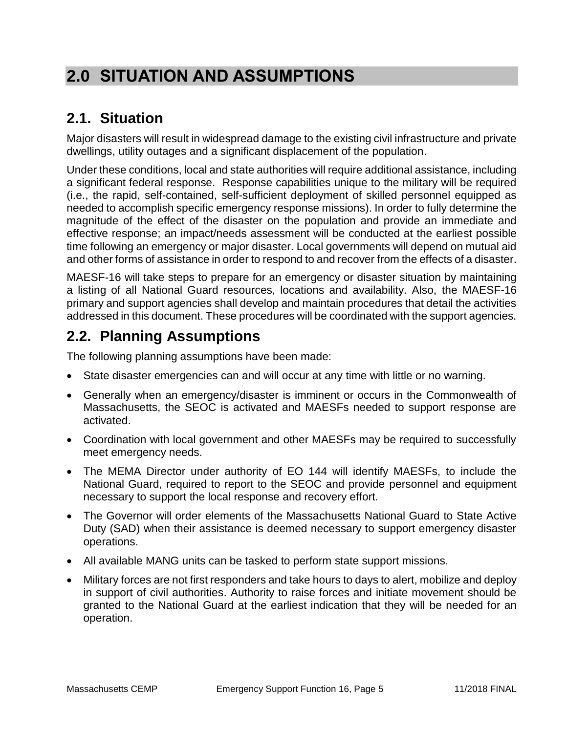# **2.0 SITUATION AND ASSUMPTIONS**

# **2.1. Situation**

Major disasters will result in widespread damage to the existing civil infrastructure and private dwellings, utility outages and a significant displacement of the population.

Under these conditions, local and state authorities will require additional assistance, including a significant federal response. Response capabilities unique to the military will be required (i.e., the rapid, self-contained, self-sufficient deployment of skilled personnel equipped as needed to accomplish specific emergency response missions). In order to fully determine the magnitude of the effect of the disaster on the population and provide an immediate and effective response; an impact/needs assessment will be conducted at the earliest possible time following an emergency or major disaster. Local governments will depend on mutual aid and other forms of assistance in order to respond to and recover from the effects of a disaster.

MAESF-16 will take steps to prepare for an emergency or disaster situation by maintaining a listing of all National Guard resources, locations and availability. Also, the MAESF-16 primary and support agencies shall develop and maintain procedures that detail the activities addressed in this document. These procedures will be coordinated with the support agencies.

# **2.2. Planning Assumptions**

The following planning assumptions have been made:

- State disaster emergencies can and will occur at any time with little or no warning.
- Generally when an emergency/disaster is imminent or occurs in the Commonwealth of Massachusetts, the SEOC is activated and MAESFs needed to support response are activated.
- Coordination with local government and other MAESFs may be required to successfully meet emergency needs.
- The MEMA Director under authority of EO 144 will identify MAESFs, to include the National Guard, required to report to the SEOC and provide personnel and equipment necessary to support the local response and recovery effort.
- The Governor will order elements of the Massachusetts National Guard to State Active Duty (SAD) when their assistance is deemed necessary to support emergency disaster operations.
- All available MANG units can be tasked to perform state support missions.
- Military forces are not first responders and take hours to days to alert, mobilize and deploy in support of civil authorities. Authority to raise forces and initiate movement should be granted to the National Guard at the earliest indication that they will be needed for an operation.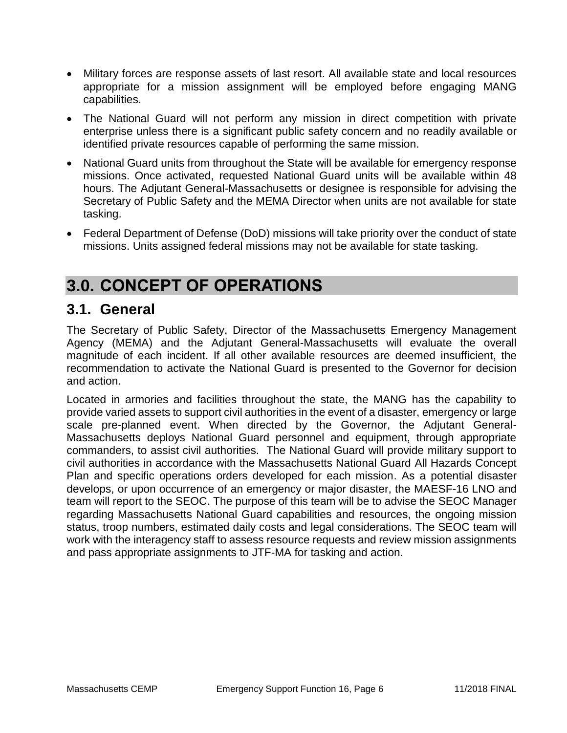- Military forces are response assets of last resort. All available state and local resources appropriate for a mission assignment will be employed before engaging MANG capabilities.
- The National Guard will not perform any mission in direct competition with private enterprise unless there is a significant public safety concern and no readily available or identified private resources capable of performing the same mission.
- National Guard units from throughout the State will be available for emergency response missions. Once activated, requested National Guard units will be available within 48 hours. The Adjutant General-Massachusetts or designee is responsible for advising the Secretary of Public Safety and the MEMA Director when units are not available for state tasking.
- Federal Department of Defense (DoD) missions will take priority over the conduct of state missions. Units assigned federal missions may not be available for state tasking.

# **3.0. CONCEPT OF OPERATIONS**

## **3.1. General**

The Secretary of Public Safety, Director of the Massachusetts Emergency Management Agency (MEMA) and the Adjutant General-Massachusetts will evaluate the overall magnitude of each incident. If all other available resources are deemed insufficient, the recommendation to activate the National Guard is presented to the Governor for decision and action.

Located in armories and facilities throughout the state, the MANG has the capability to provide varied assets to support civil authorities in the event of a disaster, emergency or large scale pre-planned event. When directed by the Governor, the Adjutant General-Massachusetts deploys National Guard personnel and equipment, through appropriate commanders, to assist civil authorities. The National Guard will provide military support to civil authorities in accordance with the Massachusetts National Guard All Hazards Concept Plan and specific operations orders developed for each mission. As a potential disaster develops, or upon occurrence of an emergency or major disaster, the MAESF-16 LNO and team will report to the SEOC. The purpose of this team will be to advise the SEOC Manager regarding Massachusetts National Guard capabilities and resources, the ongoing mission status, troop numbers, estimated daily costs and legal considerations. The SEOC team will work with the interagency staff to assess resource requests and review mission assignments and pass appropriate assignments to JTF-MA for tasking and action.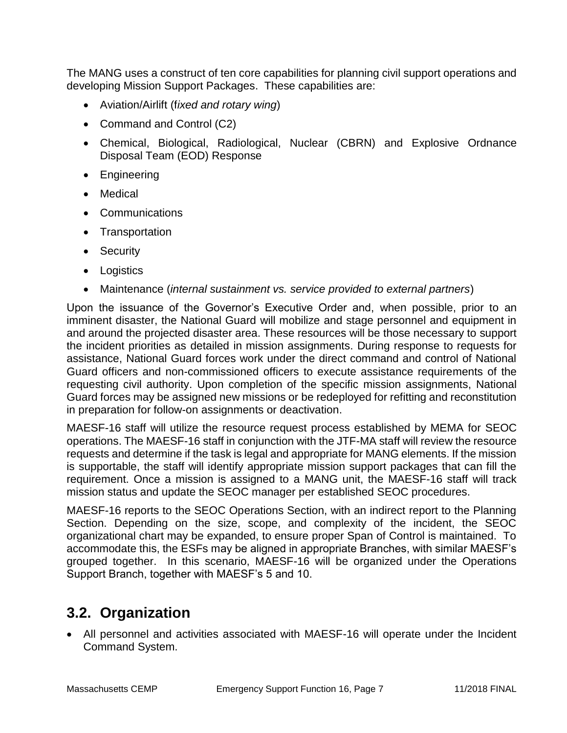The MANG uses a construct of ten core capabilities for planning civil support operations and developing Mission Support Packages. These capabilities are:

- Aviation/Airlift (f*ixed and rotary wing*)
- Command and Control (C2)
- Chemical, Biological, Radiological, Nuclear (CBRN) and Explosive Ordnance Disposal Team (EOD) Response
- **•** Engineering
- Medical
- Communications
- Transportation
- Security
- Logistics
- Maintenance (*internal sustainment vs. service provided to external partners*)

Upon the issuance of the Governor's Executive Order and, when possible, prior to an imminent disaster, the National Guard will mobilize and stage personnel and equipment in and around the projected disaster area. These resources will be those necessary to support the incident priorities as detailed in mission assignments. During response to requests for assistance, National Guard forces work under the direct command and control of National Guard officers and non-commissioned officers to execute assistance requirements of the requesting civil authority. Upon completion of the specific mission assignments, National Guard forces may be assigned new missions or be redeployed for refitting and reconstitution in preparation for follow-on assignments or deactivation.

MAESF-16 staff will utilize the resource request process established by MEMA for SEOC operations. The MAESF-16 staff in conjunction with the JTF-MA staff will review the resource requests and determine if the task is legal and appropriate for MANG elements. If the mission is supportable, the staff will identify appropriate mission support packages that can fill the requirement. Once a mission is assigned to a MANG unit, the MAESF-16 staff will track mission status and update the SEOC manager per established SEOC procedures.

MAESF-16 reports to the SEOC Operations Section, with an indirect report to the Planning Section. Depending on the size, scope, and complexity of the incident, the SEOC organizational chart may be expanded, to ensure proper Span of Control is maintained. To accommodate this, the ESFs may be aligned in appropriate Branches, with similar MAESF's grouped together. In this scenario, MAESF-16 will be organized under the Operations Support Branch, together with MAESF's 5 and 10.

## **3.2. Organization**

 All personnel and activities associated with MAESF-16 will operate under the Incident Command System.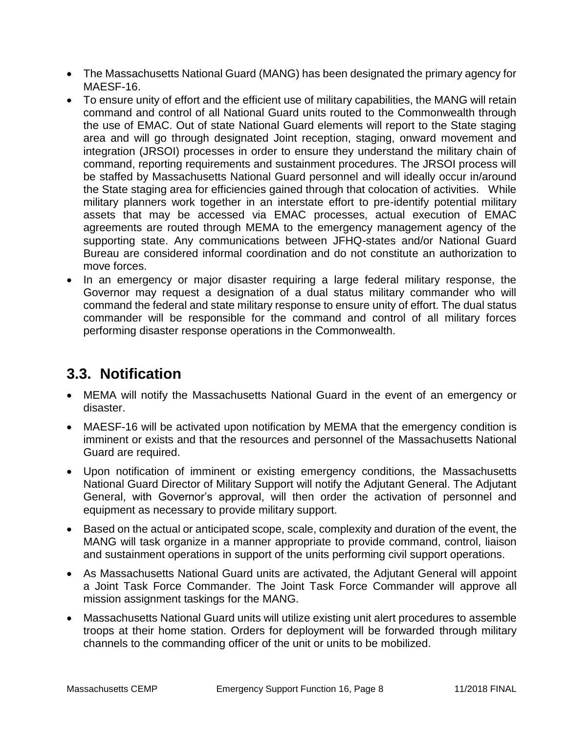- The Massachusetts National Guard (MANG) has been designated the primary agency for MAESF-16.
- To ensure unity of effort and the efficient use of military capabilities, the MANG will retain command and control of all National Guard units routed to the Commonwealth through the use of EMAC. Out of state National Guard elements will report to the State staging area and will go through designated Joint reception, staging, onward movement and integration (JRSOI) processes in order to ensure they understand the military chain of command, reporting requirements and sustainment procedures. The JRSOI process will be staffed by Massachusetts National Guard personnel and will ideally occur in/around the State staging area for efficiencies gained through that colocation of activities. While military planners work together in an interstate effort to pre-identify potential military assets that may be accessed via EMAC processes, actual execution of EMAC agreements are routed through MEMA to the emergency management agency of the supporting state. Any communications between JFHQ-states and/or National Guard Bureau are considered informal coordination and do not constitute an authorization to move forces.
- In an emergency or major disaster requiring a large federal military response, the Governor may request a designation of a dual status military commander who will command the federal and state military response to ensure unity of effort. The dual status commander will be responsible for the command and control of all military forces performing disaster response operations in the Commonwealth.

# **3.3. Notification**

- MEMA will notify the Massachusetts National Guard in the event of an emergency or disaster.
- MAESF-16 will be activated upon notification by MEMA that the emergency condition is imminent or exists and that the resources and personnel of the Massachusetts National Guard are required.
- Upon notification of imminent or existing emergency conditions, the Massachusetts National Guard Director of Military Support will notify the Adjutant General. The Adjutant General, with Governor's approval, will then order the activation of personnel and equipment as necessary to provide military support.
- Based on the actual or anticipated scope, scale, complexity and duration of the event, the MANG will task organize in a manner appropriate to provide command, control, liaison and sustainment operations in support of the units performing civil support operations.
- As Massachusetts National Guard units are activated, the Adjutant General will appoint a Joint Task Force Commander. The Joint Task Force Commander will approve all mission assignment taskings for the MANG.
- Massachusetts National Guard units will utilize existing unit alert procedures to assemble troops at their home station. Orders for deployment will be forwarded through military channels to the commanding officer of the unit or units to be mobilized.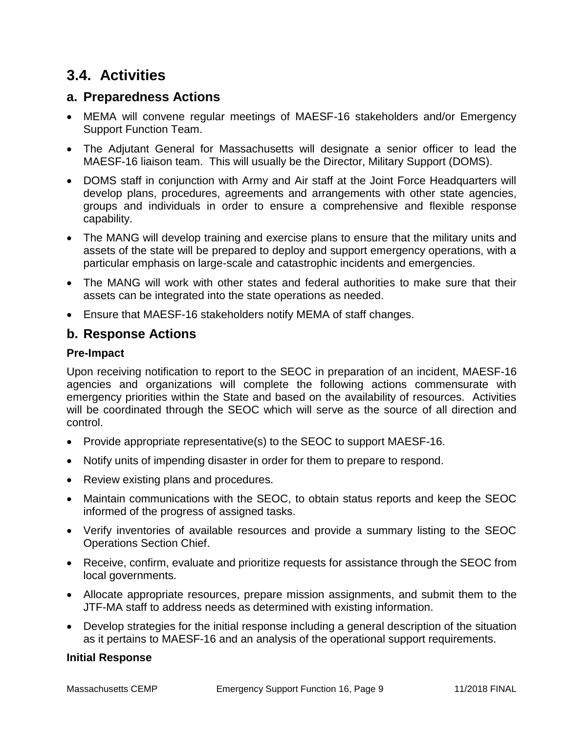# **3.4. Activities**

### **a. Preparedness Actions**

- MEMA will convene regular meetings of MAESF-16 stakeholders and/or Emergency Support Function Team.
- The Adjutant General for Massachusetts will designate a senior officer to lead the MAESF-16 liaison team. This will usually be the Director, Military Support (DOMS).
- DOMS staff in conjunction with Army and Air staff at the Joint Force Headquarters will develop plans, procedures, agreements and arrangements with other state agencies, groups and individuals in order to ensure a comprehensive and flexible response capability.
- The MANG will develop training and exercise plans to ensure that the military units and assets of the state will be prepared to deploy and support emergency operations, with a particular emphasis on large-scale and catastrophic incidents and emergencies.
- The MANG will work with other states and federal authorities to make sure that their assets can be integrated into the state operations as needed.
- Ensure that MAESF-16 stakeholders notify MEMA of staff changes.

### **b. Response Actions**

#### **Pre-Impact**

Upon receiving notification to report to the SEOC in preparation of an incident, MAESF-16 agencies and organizations will complete the following actions commensurate with emergency priorities within the State and based on the availability of resources. Activities will be coordinated through the SEOC which will serve as the source of all direction and control.

- Provide appropriate representative(s) to the SEOC to support MAESF-16.
- Notify units of impending disaster in order for them to prepare to respond.
- Review existing plans and procedures.
- Maintain communications with the SEOC, to obtain status reports and keep the SEOC informed of the progress of assigned tasks.
- Verify inventories of available resources and provide a summary listing to the SEOC Operations Section Chief.
- Receive, confirm, evaluate and prioritize requests for assistance through the SEOC from local governments.
- Allocate appropriate resources, prepare mission assignments, and submit them to the JTF-MA staff to address needs as determined with existing information.
- Develop strategies for the initial response including a general description of the situation as it pertains to MAESF-16 and an analysis of the operational support requirements.

#### **Initial Response**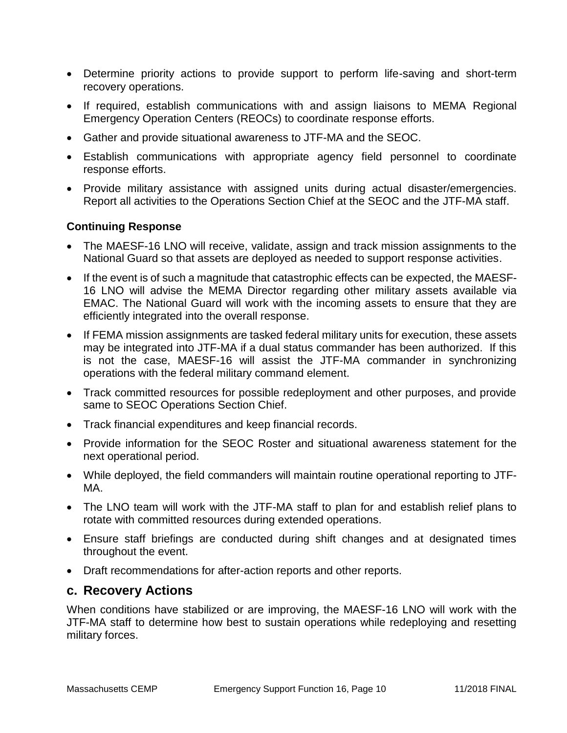- Determine priority actions to provide support to perform life-saving and short-term recovery operations.
- If required, establish communications with and assign liaisons to MEMA Regional Emergency Operation Centers (REOCs) to coordinate response efforts.
- Gather and provide situational awareness to JTF-MA and the SEOC.
- Establish communications with appropriate agency field personnel to coordinate response efforts.
- Provide military assistance with assigned units during actual disaster/emergencies. Report all activities to the Operations Section Chief at the SEOC and the JTF-MA staff.

#### **Continuing Response**

- The MAESF-16 LNO will receive, validate, assign and track mission assignments to the National Guard so that assets are deployed as needed to support response activities.
- If the event is of such a magnitude that catastrophic effects can be expected, the MAESF-16 LNO will advise the MEMA Director regarding other military assets available via EMAC. The National Guard will work with the incoming assets to ensure that they are efficiently integrated into the overall response.
- If FEMA mission assignments are tasked federal military units for execution, these assets may be integrated into JTF-MA if a dual status commander has been authorized. If this is not the case, MAESF-16 will assist the JTF-MA commander in synchronizing operations with the federal military command element.
- Track committed resources for possible redeployment and other purposes, and provide same to SEOC Operations Section Chief.
- Track financial expenditures and keep financial records.
- Provide information for the SEOC Roster and situational awareness statement for the next operational period.
- While deployed, the field commanders will maintain routine operational reporting to JTF-MA.
- The LNO team will work with the JTF-MA staff to plan for and establish relief plans to rotate with committed resources during extended operations.
- Ensure staff briefings are conducted during shift changes and at designated times throughout the event.
- Draft recommendations for after-action reports and other reports.

#### **c. Recovery Actions**

When conditions have stabilized or are improving, the MAESF-16 LNO will work with the JTF-MA staff to determine how best to sustain operations while redeploying and resetting military forces.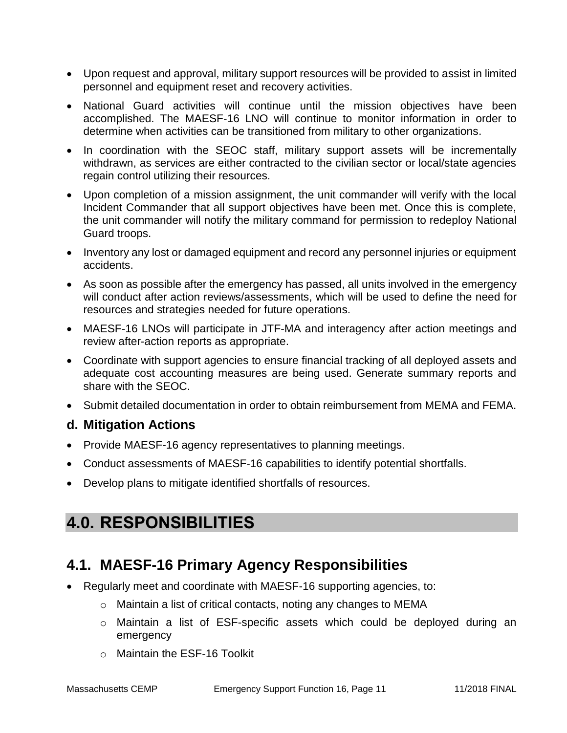- Upon request and approval, military support resources will be provided to assist in limited personnel and equipment reset and recovery activities.
- National Guard activities will continue until the mission objectives have been accomplished. The MAESF-16 LNO will continue to monitor information in order to determine when activities can be transitioned from military to other organizations.
- In coordination with the SEOC staff, military support assets will be incrementally withdrawn, as services are either contracted to the civilian sector or local/state agencies regain control utilizing their resources.
- Upon completion of a mission assignment, the unit commander will verify with the local Incident Commander that all support objectives have been met. Once this is complete, the unit commander will notify the military command for permission to redeploy National Guard troops.
- Inventory any lost or damaged equipment and record any personnel injuries or equipment accidents.
- As soon as possible after the emergency has passed, all units involved in the emergency will conduct after action reviews/assessments, which will be used to define the need for resources and strategies needed for future operations.
- MAESF-16 LNOs will participate in JTF-MA and interagency after action meetings and review after-action reports as appropriate.
- Coordinate with support agencies to ensure financial tracking of all deployed assets and adequate cost accounting measures are being used. Generate summary reports and share with the SEOC.
- Submit detailed documentation in order to obtain reimbursement from MEMA and FEMA.

### **d. Mitigation Actions**

- Provide MAESF-16 agency representatives to planning meetings.
- Conduct assessments of MAESF-16 capabilities to identify potential shortfalls.
- Develop plans to mitigate identified shortfalls of resources.

# **4.0. RESPONSIBILITIES**

## **4.1. MAESF-16 Primary Agency Responsibilities**

- Regularly meet and coordinate with MAESF-16 supporting agencies, to:
	- o Maintain a list of critical contacts, noting any changes to MEMA
	- o Maintain a list of ESF-specific assets which could be deployed during an emergency
	- o Maintain the ESF-16 Toolkit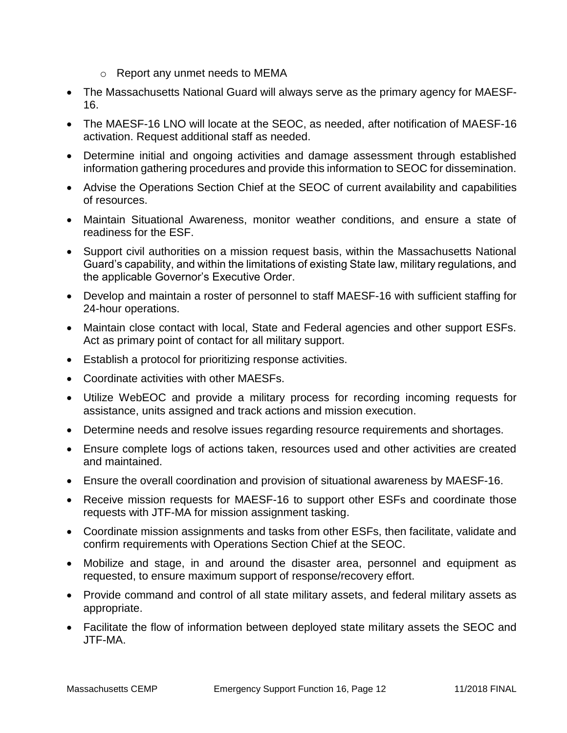- o Report any unmet needs to MEMA
- The Massachusetts National Guard will always serve as the primary agency for MAESF-16.
- The MAESF-16 LNO will locate at the SEOC, as needed, after notification of MAESF-16 activation. Request additional staff as needed.
- Determine initial and ongoing activities and damage assessment through established information gathering procedures and provide this information to SEOC for dissemination.
- Advise the Operations Section Chief at the SEOC of current availability and capabilities of resources.
- Maintain Situational Awareness, monitor weather conditions, and ensure a state of readiness for the ESF.
- Support civil authorities on a mission request basis, within the Massachusetts National Guard's capability, and within the limitations of existing State law, military regulations, and the applicable Governor's Executive Order.
- Develop and maintain a roster of personnel to staff MAESF-16 with sufficient staffing for 24-hour operations.
- Maintain close contact with local, State and Federal agencies and other support ESFs. Act as primary point of contact for all military support.
- Establish a protocol for prioritizing response activities.
- Coordinate activities with other MAESFs.
- Utilize WebEOC and provide a military process for recording incoming requests for assistance, units assigned and track actions and mission execution.
- Determine needs and resolve issues regarding resource requirements and shortages.
- Ensure complete logs of actions taken, resources used and other activities are created and maintained.
- Ensure the overall coordination and provision of situational awareness by MAESF-16.
- Receive mission requests for MAESF-16 to support other ESFs and coordinate those requests with JTF-MA for mission assignment tasking.
- Coordinate mission assignments and tasks from other ESFs, then facilitate, validate and confirm requirements with Operations Section Chief at the SEOC.
- Mobilize and stage, in and around the disaster area, personnel and equipment as requested, to ensure maximum support of response/recovery effort.
- Provide command and control of all state military assets, and federal military assets as appropriate.
- Facilitate the flow of information between deployed state military assets the SEOC and JTF-MA.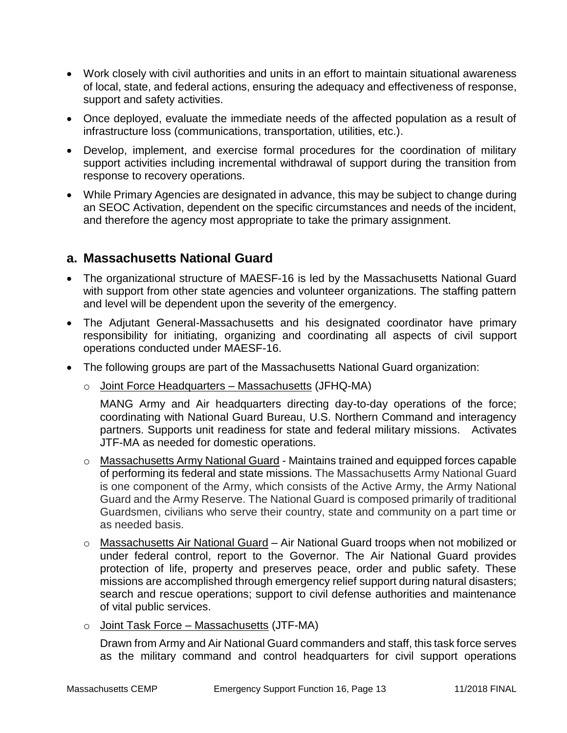- Work closely with civil authorities and units in an effort to maintain situational awareness of local, state, and federal actions, ensuring the adequacy and effectiveness of response, support and safety activities.
- Once deployed, evaluate the immediate needs of the affected population as a result of infrastructure loss (communications, transportation, utilities, etc.).
- Develop, implement, and exercise formal procedures for the coordination of military support activities including incremental withdrawal of support during the transition from response to recovery operations.
- While Primary Agencies are designated in advance, this may be subject to change during an SEOC Activation, dependent on the specific circumstances and needs of the incident, and therefore the agency most appropriate to take the primary assignment.

### **a. Massachusetts National Guard**

- The organizational structure of MAESF-16 is led by the Massachusetts National Guard with support from other state agencies and volunteer organizations. The staffing pattern and level will be dependent upon the severity of the emergency.
- The Adjutant General-Massachusetts and his designated coordinator have primary responsibility for initiating, organizing and coordinating all aspects of civil support operations conducted under MAESF-16.
- The following groups are part of the Massachusetts National Guard organization:
	- $\circ$  Joint Force Headquarters Massachusetts (JFHQ-MA)

MANG Army and Air headquarters directing day-to-day operations of the force; coordinating with National Guard Bureau, U.S. Northern Command and interagency partners. Supports unit readiness for state and federal military missions. Activates JTF-MA as needed for domestic operations.

- $\circ$  Massachusetts Army National Guard Maintains trained and equipped forces capable of performing its federal and state missions. The Massachusetts Army National Guard is one component of the Army, which consists of the Active Army, the Army National Guard and the Army Reserve. The National Guard is composed primarily of traditional Guardsmen, civilians who serve their country, state and community on a part time or as needed basis.
- o Massachusetts Air National Guard Air National Guard troops when not mobilized or under federal control, report to the Governor. The Air National Guard provides protection of life, property and preserves peace, order and public safety. These missions are accomplished through emergency relief support during natural disasters; search and rescue operations; support to civil defense authorities and maintenance of vital public services.
- $\circ$  Joint Task Force Massachusetts (JTF-MA)

Drawn from Army and Air National Guard commanders and staff, this task force serves as the military command and control headquarters for civil support operations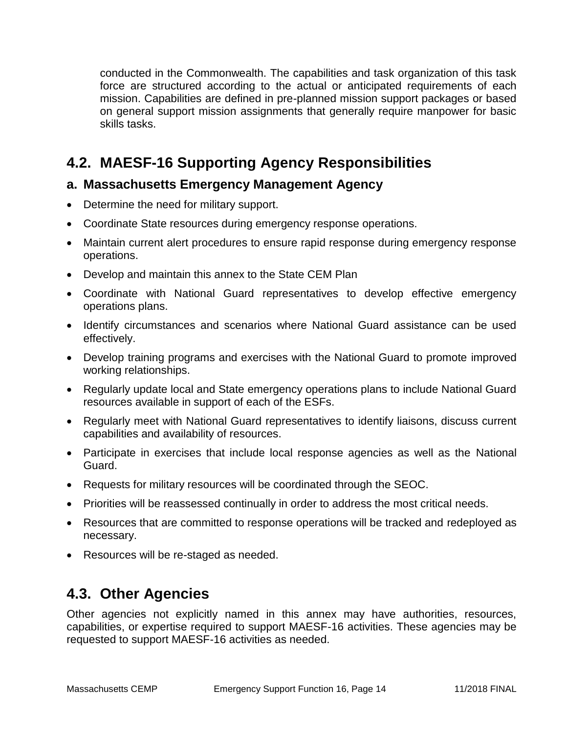conducted in the Commonwealth. The capabilities and task organization of this task force are structured according to the actual or anticipated requirements of each mission. Capabilities are defined in pre-planned mission support packages or based on general support mission assignments that generally require manpower for basic skills tasks.

# **4.2. MAESF-16 Supporting Agency Responsibilities**

### **a. Massachusetts Emergency Management Agency**

- Determine the need for military support.
- Coordinate State resources during emergency response operations.
- Maintain current alert procedures to ensure rapid response during emergency response operations.
- Develop and maintain this annex to the State CEM Plan
- Coordinate with National Guard representatives to develop effective emergency operations plans.
- Identify circumstances and scenarios where National Guard assistance can be used effectively.
- Develop training programs and exercises with the National Guard to promote improved working relationships.
- Regularly update local and State emergency operations plans to include National Guard resources available in support of each of the ESFs.
- Regularly meet with National Guard representatives to identify liaisons, discuss current capabilities and availability of resources.
- Participate in exercises that include local response agencies as well as the National Guard.
- Requests for military resources will be coordinated through the SEOC.
- Priorities will be reassessed continually in order to address the most critical needs.
- Resources that are committed to response operations will be tracked and redeployed as necessary.
- Resources will be re-staged as needed.

## **4.3. Other Agencies**

Other agencies not explicitly named in this annex may have authorities, resources, capabilities, or expertise required to support MAESF-16 activities. These agencies may be requested to support MAESF-16 activities as needed.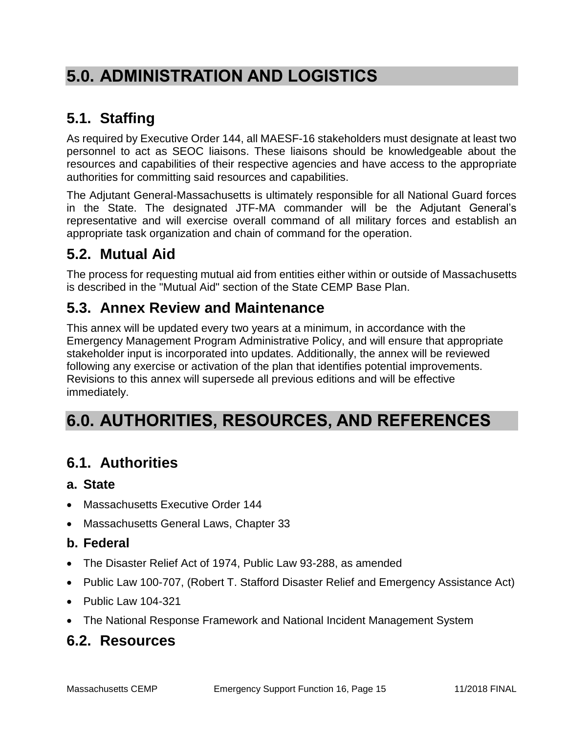# **5.0. ADMINISTRATION AND LOGISTICS**

# **5.1. Staffing**

As required by Executive Order 144, all MAESF-16 stakeholders must designate at least two personnel to act as SEOC liaisons. These liaisons should be knowledgeable about the resources and capabilities of their respective agencies and have access to the appropriate authorities for committing said resources and capabilities.

The Adjutant General-Massachusetts is ultimately responsible for all National Guard forces in the State. The designated JTF-MA commander will be the Adjutant General's representative and will exercise overall command of all military forces and establish an appropriate task organization and chain of command for the operation.

# **5.2. Mutual Aid**

The process for requesting mutual aid from entities either within or outside of Massachusetts is described in the "Mutual Aid" section of the State CEMP Base Plan.

# **5.3. Annex Review and Maintenance**

This annex will be updated every two years at a minimum, in accordance with the Emergency Management Program Administrative Policy, and will ensure that appropriate stakeholder input is incorporated into updates. Additionally, the annex will be reviewed following any exercise or activation of the plan that identifies potential improvements. Revisions to this annex will supersede all previous editions and will be effective immediately.

# **6.0. AUTHORITIES, RESOURCES, AND REFERENCES**

# **6.1. Authorities**

### **a. State**

- Massachusetts Executive Order 144
- Massachusetts General Laws, Chapter 33

### **b. Federal**

- The Disaster Relief Act of 1974, Public Law 93-288, as amended
- Public Law 100-707, (Robert T. Stafford Disaster Relief and Emergency Assistance Act)
- $\bullet$  Public Law 104-321
- The National Response Framework and National Incident Management System

## **6.2. Resources**